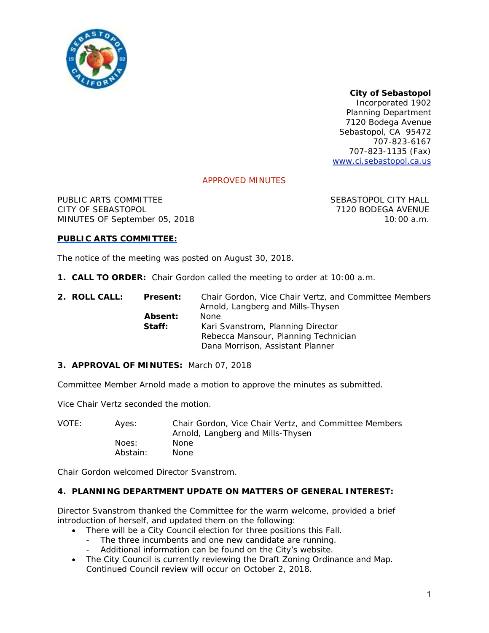

# *City of Sebastopol*

*Incorporated 1902*  Planning Department 7120 Bodega Avenue Sebastopol, CA 95472 707-823-6167 707-823-1135 (Fax) www.ci.sebastopol.ca.us

## APPROVED MINUTES

PUBLIC ARTS COMMITTEE SEBASTOPOL CITY HALL CITY OF SEBASTOPOL 7120 BODEGA AVENUE MINUTES OF September 05, 2018 10:00 a.m.

### **PUBLIC ARTS COMMITTEE:**

The notice of the meeting was posted on August 30, 2018.

**1. CALL TO ORDER:** Chair Gordon called the meeting to order at 10:00 a.m.

| 2. ROLL CALL: | <b>Present:</b>   | Chair Gordon, Vice Chair Vertz, and Committee Members<br>Arnold, Langberg and Mills-Thysen |
|---------------|-------------------|--------------------------------------------------------------------------------------------|
|               | Absent:<br>Staff: | <b>None</b><br>Kari Svanstrom, Planning Director                                           |
|               |                   | Rebecca Mansour, Planning Technician<br>Dana Morrison, Assistant Planner                   |

#### **3. APPROVAL OF MINUTES:** March 07, 2018

Committee Member Arnold made a motion to approve the minutes as submitted.

Vice Chair Vertz seconded the motion.

VOTE: Ayes: Chair Gordon, Vice Chair Vertz, and Committee Members Arnold, Langberg and Mills-Thysen Noes: None Abstain: None

Chair Gordon welcomed Director Svanstrom.

#### **4. PLANNING DEPARTMENT UPDATE ON MATTERS OF GENERAL INTEREST:**

Director Svanstrom thanked the Committee for the warm welcome, provided a brief introduction of herself, and updated them on the following:

- There will be a City Council election for three positions this Fall.
	- The three incumbents and one new candidate are running.
	- Additional information can be found on the City's website.
- The City Council is currently reviewing the Draft Zoning Ordinance and Map. Continued Council review will occur on October 2, 2018.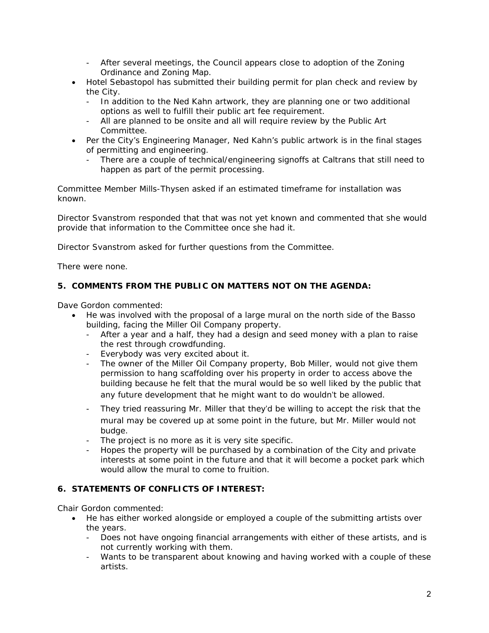- After several meetings, the Council appears close to adoption of the Zoning Ordinance and Zoning Map.
- Hotel Sebastopol has submitted their building permit for plan check and review by the City.
	- In addition to the Ned Kahn artwork, they are planning one or two additional options as well to fulfill their public art fee requirement.
	- All are planned to be onsite and all will require review by the Public Art Committee.
- Per the City's Engineering Manager, Ned Kahn's public artwork is in the final stages of permitting and engineering.
	- There are a couple of technical/engineering signoffs at Caltrans that still need to happen as part of the permit processing.

Committee Member Mills-Thysen asked if an estimated timeframe for installation was known.

Director Svanstrom responded that that was not yet known and commented that she would provide that information to the Committee once she had it.

Director Svanstrom asked for further questions from the Committee.

There were none.

## **5. COMMENTS FROM THE PUBLIC ON MATTERS NOT ON THE AGENDA:**

Dave Gordon commented:

- He was involved with the proposal of a large mural on the north side of the Basso building, facing the Miller Oil Company property.
	- After a year and a half, they had a design and seed money with a plan to raise the rest through crowdfunding.
	- Everybody was very excited about it.
	- The owner of the Miller Oil Company property, Bob Miller, would not give them permission to hang scaffolding over his property in order to access above the building because he felt that the mural would be so well liked by the public that any future development that he might want to do wouldn't be allowed.
	- They tried reassuring Mr. Miller that they'd be willing to accept the risk that the mural may be covered up at some point in the future, but Mr. Miller would not budge.
	- The project is no more as it is very site specific.
	- Hopes the property will be purchased by a combination of the City and private interests at some point in the future and that it will become a pocket park which would allow the mural to come to fruition.

## **6. STATEMENTS OF CONFLICTS OF INTEREST:**

Chair Gordon commented:

- He has either worked alongside or employed a couple of the submitting artists over the years.
	- Does not have ongoing financial arrangements with either of these artists, and is not currently working with them.
	- Wants to be transparent about knowing and having worked with a couple of these artists.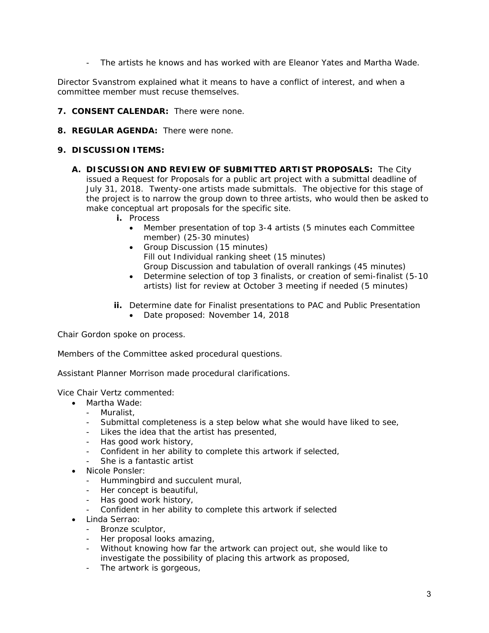- The artists he knows and has worked with are Eleanor Yates and Martha Wade.

Director Svanstrom explained what it means to have a conflict of interest, and when a committee member must recuse themselves.

- **7. CONSENT CALENDAR:** There were none.
- **8. REGULAR AGENDA:** There were none.

## **9. DISCUSSION ITEMS:**

- **A. DISCUSSION AND REVIEW OF SUBMITTED ARTIST PROPOSALS:** The City issued a Request for Proposals for a public art project with a submittal deadline of July 31, 2018. Twenty-one artists made submittals. The objective for this stage of the project is to narrow the group down to three artists, who would then be asked to make conceptual art proposals for the specific site.
	- **i.** Process
		- Member presentation of top 3-4 artists (5 minutes each Committee member) (25-30 minutes)
		- Group Discussion (15 minutes) Fill out Individual ranking sheet (15 minutes) Group Discussion and tabulation of overall rankings (45 minutes)
		- Determine selection of top 3 finalists, or creation of semi-finalist (5-10 artists) list for review at October 3 meeting if needed (5 minutes)
	- **ii.** Determine date for Finalist presentations to PAC and Public Presentation
		- Date proposed: November 14, 2018

Chair Gordon spoke on process.

Members of the Committee asked procedural questions.

Assistant Planner Morrison made procedural clarifications.

Vice Chair Vertz commented:

- Martha Wade:
	- Muralist,
	- Submittal completeness is a step below what she would have liked to see,
	- Likes the idea that the artist has presented,
	- Has good work history,
	- Confident in her ability to complete this artwork if selected,
	- She is a fantastic artist
- Nicole Ponsler:
	- Hummingbird and succulent mural,
	- Her concept is beautiful,
	- Has good work history,
	- Confident in her ability to complete this artwork if selected
- Linda Serrao:
	- Bronze sculptor,
	- Her proposal looks amazing,
	- Without knowing how far the artwork can project out, she would like to investigate the possibility of placing this artwork as proposed,
	- The artwork is gorgeous,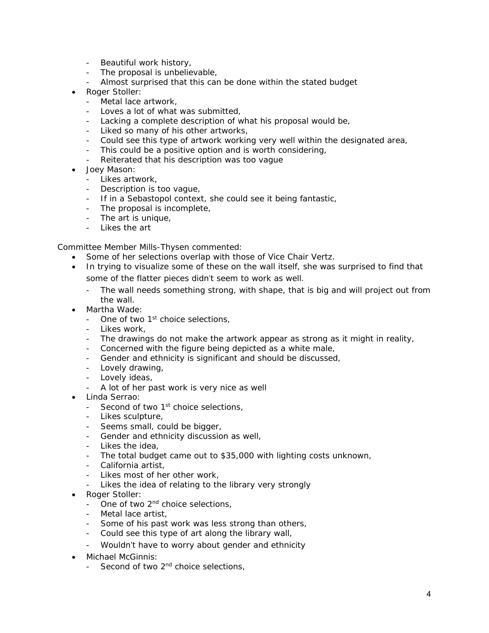- Beautiful work history,
- The proposal is unbelievable,
- Almost surprised that this can be done within the stated budget
- Roger Stoller:
	- Metal lace artwork,
	- Loves a lot of what was submitted,
	- Lacking a complete description of what his proposal would be,
	- Liked so many of his other artworks,
	- Could see this type of artwork working very well within the designated area,
	- This could be a positive option and is worth considering,
	- Reiterated that his description was too vague
- Joey Mason:
	- Likes artwork,
	- Description is too vague,
	- If in a Sebastopol context, she could see it being fantastic,
	- The proposal is incomplete,
	- The art is unique,
	- Likes the art

Committee Member Mills-Thysen commented:

- Some of her selections overlap with those of Vice Chair Vertz.
- In trying to visualize some of these on the wall itself, she was surprised to find that some of the flatter pieces didn't seem to work as well.
	- The wall needs something strong, with shape, that is big and will project out from the wall.
- Martha Wade:
	- One of two 1<sup>st</sup> choice selections,
	- Likes work,
	- The drawings do not make the artwork appear as strong as it might in reality,
	- Concerned with the figure being depicted as a white male,
	- Gender and ethnicity is significant and should be discussed,
	- Lovely drawing,
	- Lovely ideas,
	- A lot of her past work is very nice as well
- Linda Serrao:
	- Second of two 1<sup>st</sup> choice selections,
	- Likes sculpture,
	- Seems small, could be bigger,
	- Gender and ethnicity discussion as well,
	- Likes the idea,
	- The total budget came out to \$35,000 with lighting costs unknown,
	- California artist,
	- Likes most of her other work,
	- Likes the idea of relating to the library very strongly
- Roger Stoller:
	- One of two 2<sup>nd</sup> choice selections,
	- Metal lace artist,
	- Some of his past work was less strong than others,
	- Could see this type of art along the library wall,
	- Wouldn't have to worry about gender and ethnicity
- Michael McGinnis:
	- Second of two 2<sup>nd</sup> choice selections,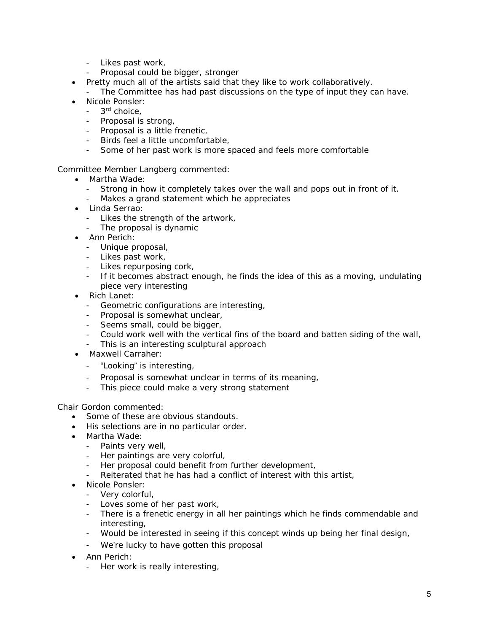- Likes past work,
- Proposal could be bigger, stronger
- Pretty much all of the artists said that they like to work collaboratively.
- The Committee has had past discussions on the type of input they can have.
- Nicole Ponsler:
	- 3<sup>rd</sup> choice.
	- Proposal is strong,
	- Proposal is a little frenetic,
	- Birds feel a little uncomfortable,
	- Some of her past work is more spaced and feels more comfortable

Committee Member Langberg commented:

- Martha Wade:
	- Strong in how it completely takes over the wall and pops out in front of it.<br>- Makes a grand statement which he appreciates
	- Makes a grand statement which he appreciates
- Linda Serrao:
	- Likes the strength of the artwork,
	- The proposal is dynamic
- Ann Perich:
	- Unique proposal,
	- Likes past work,
	- Likes repurposing cork,
	- If it becomes abstract enough, he finds the idea of this as a moving, undulating piece very interesting
- Rich Lanet:
	- Geometric configurations are interesting,
	- Proposal is somewhat unclear,
	- Seems small, could be bigger,
	- Could work well with the vertical fins of the board and batten siding of the wall,
	- This is an interesting sculptural approach
- Maxwell Carraher:
	- "Looking" is interesting,
	- Proposal is somewhat unclear in terms of its meaning,
	- This piece could make a very strong statement

Chair Gordon commented:

- Some of these are obvious standouts.
- His selections are in no particular order.
- Martha Wade:
	- Paints very well,
	- Her paintings are very colorful,
	- Her proposal could benefit from further development,
	- Reiterated that he has had a conflict of interest with this artist,
- Nicole Ponsler:
	- Very colorful,
	- Loves some of her past work,
	- There is a frenetic energy in all her paintings which he finds commendable and interesting,
	- Would be interested in seeing if this concept winds up being her final design,
	- We're lucky to have gotten this proposal
- Ann Perich:
	- Her work is really interesting,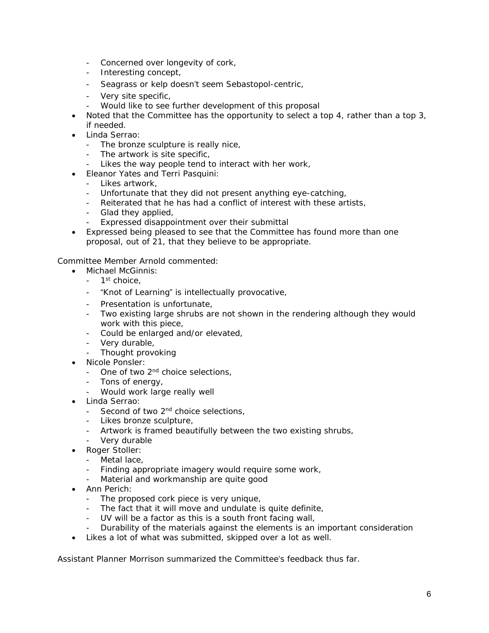- Concerned over longevity of cork,
- Interesting concept,
- Seagrass or kelp doesn't seem Sebastopol-centric,
- Very site specific,
- Would like to see further development of this proposal
- Noted that the Committee has the opportunity to select a top 4, rather than a top 3, if needed.
- Linda Serrao:
	- The bronze sculpture is really nice,
	- The artwork is site specific,
	- Likes the way people tend to interact with her work,
- Eleanor Yates and Terri Pasquini:
	- Likes artwork,
	- Unfortunate that they did not present anything eye-catching,
	- Reiterated that he has had a conflict of interest with these artists,
	- Glad they applied,
	- Expressed disappointment over their submittal
- Expressed being pleased to see that the Committee has found more than one proposal, out of 21, that they believe to be appropriate.

Committee Member Arnold commented:

- Michael McGinnis:
	- $-1$ <sup>st</sup> choice,
	- "Knot of Learning" is intellectually provocative,
	- Presentation is unfortunate,
	- Two existing large shrubs are not shown in the rendering although they would work with this piece,
	- Could be enlarged and/or elevated,
	- Very durable,
		- Thought provoking
- Nicole Ponsler:
	- One of two 2<sup>nd</sup> choice selections,
	- Tons of energy,
	- Would work large really well
- Linda Serrao:
	- Second of two 2<sup>nd</sup> choice selections,
	- Likes bronze sculpture,
	- Artwork is framed beautifully between the two existing shrubs,
	- Very durable
- Roger Stoller:
	- Metal lace,
	- Finding appropriate imagery would require some work,
	- Material and workmanship are quite good
- Ann Perich:
	- The proposed cork piece is very unique,
	- The fact that it will move and undulate is quite definite,
	- UV will be a factor as this is a south front facing wall,
	- Durability of the materials against the elements is an important consideration
- Likes a lot of what was submitted, skipped over a lot as well.

Assistant Planner Morrison summarized the Committee's feedback thus far.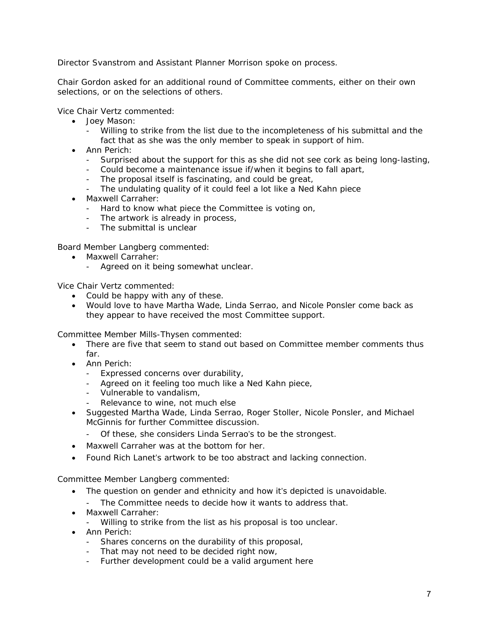Director Svanstrom and Assistant Planner Morrison spoke on process.

Chair Gordon asked for an additional round of Committee comments, either on their own selections, or on the selections of others.

Vice Chair Vertz commented:

- Joey Mason:
	- Willing to strike from the list due to the incompleteness of his submittal and the fact that as she was the only member to speak in support of him.
- Ann Perich:
	- Surprised about the support for this as she did not see cork as being long-lasting,
	- Could become a maintenance issue if/when it begins to fall apart,
	- The proposal itself is fascinating, and could be great,
	- The undulating quality of it could feel a lot like a Ned Kahn piece
- Maxwell Carraher:
	- Hard to know what piece the Committee is voting on,
	- The artwork is already in process,
	- The submittal is unclear

Board Member Langberg commented:

- Maxwell Carraher:
	- Agreed on it being somewhat unclear.

Vice Chair Vertz commented:

- Could be happy with any of these.
- Would love to have Martha Wade, Linda Serrao, and Nicole Ponsler come back as they appear to have received the most Committee support.

Committee Member Mills-Thysen commented:

- There are five that seem to stand out based on Committee member comments thus far.
- Ann Perich:
	- Expressed concerns over durability,
	- Agreed on it feeling too much like a Ned Kahn piece,
	- Vulnerable to vandalism,
	- Relevance to wine, not much else
- Suggested Martha Wade, Linda Serrao, Roger Stoller, Nicole Ponsler, and Michael McGinnis for further Committee discussion.
	- Of these, she considers Linda Serrao's to be the strongest.
- Maxwell Carraher was at the bottom for her.
- Found Rich Lanet's artwork to be too abstract and lacking connection.

Committee Member Langberg commented:

- The question on gender and ethnicity and how it's depicted is unavoidable.
	- The Committee needs to decide how it wants to address that.
- Maxwell Carraher:
	- Willing to strike from the list as his proposal is too unclear.
- Ann Perich:
	- Shares concerns on the durability of this proposal,
	- That may not need to be decided right now,
	- Further development could be a valid argument here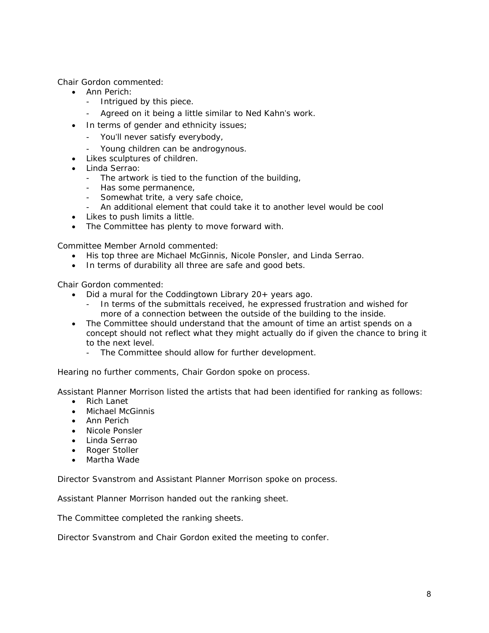Chair Gordon commented:

- Ann Perich:
	- Intrigued by this piece.
	- Agreed on it being a little similar to Ned Kahn's work.
- In terms of gender and ethnicity issues;
	- You'll never satisfy everybody,
	- Young children can be androgynous.
- Likes sculptures of children.
- Linda Serrao:
	- The artwork is tied to the function of the building,
	- Has some permanence,
	- Somewhat trite, a very safe choice,
	- An additional element that could take it to another level would be cool
- Likes to push limits a little.
- The Committee has plenty to move forward with.

Committee Member Arnold commented:

- His top three are Michael McGinnis, Nicole Ponsler, and Linda Serrao.
- In terms of durability all three are safe and good bets.

Chair Gordon commented:

- Did a mural for the Coddingtown Library 20+ years ago.
	- In terms of the submittals received, he expressed frustration and wished for more of a connection between the outside of the building to the inside.
- The Committee should understand that the amount of time an artist spends on a concept should not reflect what they might actually do if given the chance to bring it to the next level.
	- The Committee should allow for further development.

Hearing no further comments, Chair Gordon spoke on process.

Assistant Planner Morrison listed the artists that had been identified for ranking as follows:

- Rich Lanet
- Michael McGinnis
- Ann Perich
- Nicole Ponsler
- Linda Serrao
- Roger Stoller
- Martha Wade

Director Svanstrom and Assistant Planner Morrison spoke on process.

Assistant Planner Morrison handed out the ranking sheet.

The Committee completed the ranking sheets.

Director Svanstrom and Chair Gordon exited the meeting to confer.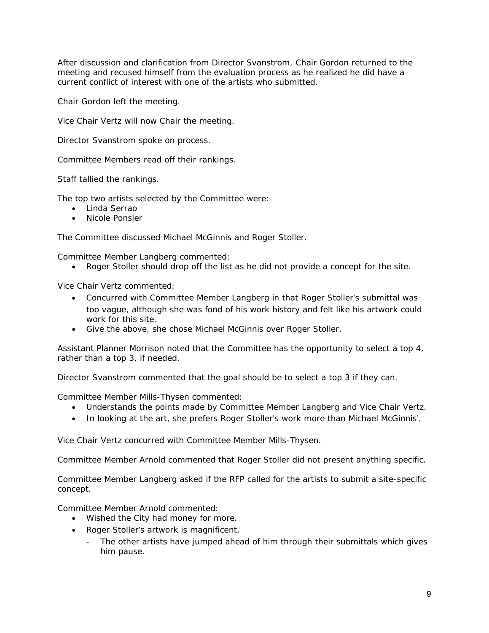After discussion and clarification from Director Svanstrom, Chair Gordon returned to the meeting and recused himself from the evaluation process as he realized he did have a current conflict of interest with one of the artists who submitted.

Chair Gordon left the meeting.

Vice Chair Vertz will now Chair the meeting.

Director Svanstrom spoke on process.

Committee Members read off their rankings.

Staff tallied the rankings.

The top two artists selected by the Committee were:

- Linda Serrao
- Nicole Ponsler

The Committee discussed Michael McGinnis and Roger Stoller.

Committee Member Langberg commented:

Roger Stoller should drop off the list as he did not provide a concept for the site.

Vice Chair Vertz commented:

- Concurred with Committee Member Langberg in that Roger Stoller's submittal was too vague, although she was fond of his work history and felt like his artwork could work for this site.
- Give the above, she chose Michael McGinnis over Roger Stoller.

Assistant Planner Morrison noted that the Committee has the opportunity to select a top 4, rather than a top 3, if needed.

Director Svanstrom commented that the goal should be to select a top 3 if they can.

Committee Member Mills-Thysen commented:

- Understands the points made by Committee Member Langberg and Vice Chair Vertz.
- In looking at the art, she prefers Roger Stoller's work more than Michael McGinnis'.

Vice Chair Vertz concurred with Committee Member Mills-Thysen.

Committee Member Arnold commented that Roger Stoller did not present anything specific.

Committee Member Langberg asked if the RFP called for the artists to submit a site-specific concept.

Committee Member Arnold commented:

- Wished the City had money for more.
- Roger Stoller's artwork is magnificent.
	- The other artists have jumped ahead of him through their submittals which gives him pause.